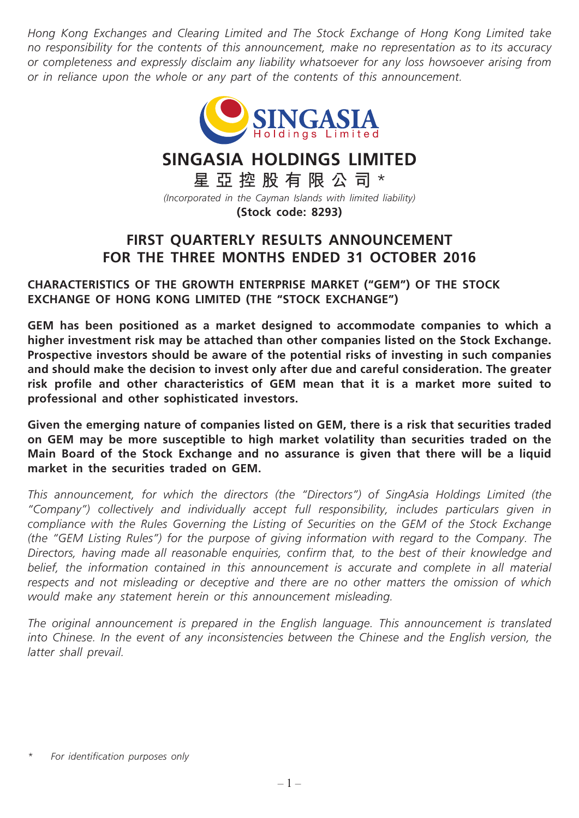*Hong Kong Exchanges and Clearing Limited and The Stock Exchange of Hong Kong Limited take no responsibility for the contents of this announcement, make no representation as to its accuracy or completeness and expressly disclaim any liability whatsoever for any loss howsoever arising from or in reliance upon the whole or any part of the contents of this announcement.*



# **SINGASIA HOLDINGS LIMITED**

**星亞控股有限公司** \*

*(Incorporated in the Cayman Islands with limited liability)*

**(Stock code: 8293)**

## **FIRST QUARTERLY RESULTS ANNOUNCEMENT FOR THE THREE MONTHS ENDED 31 OCTOBER 2016**

**CHARACTERISTICS OF THE GROWTH ENTERPRISE MARKET ("GEM") OF THE STOCK EXCHANGE OF HONG KONG LIMITED (THE "STOCK EXCHANGE")**

**GEM has been positioned as a market designed to accommodate companies to which a higher investment risk may be attached than other companies listed on the Stock Exchange. Prospective investors should be aware of the potential risks of investing in such companies and should make the decision to invest only after due and careful consideration. The greater risk profile and other characteristics of GEM mean that it is a market more suited to professional and other sophisticated investors.**

**Given the emerging nature of companies listed on GEM, there is a risk that securities traded on GEM may be more susceptible to high market volatility than securities traded on the Main Board of the Stock Exchange and no assurance is given that there will be a liquid market in the securities traded on GEM.**

*This announcement, for which the directors (the "Directors") of SingAsia Holdings Limited (the "Company") collectively and individually accept full responsibility, includes particulars given in compliance with the Rules Governing the Listing of Securities on the GEM of the Stock Exchange (the "GEM Listing Rules") for the purpose of giving information with regard to the Company. The Directors, having made all reasonable enquiries, confirm that, to the best of their knowledge and*  belief, the information contained in this announcement is accurate and complete in all material *respects and not misleading or deceptive and there are no other matters the omission of which would make any statement herein or this announcement misleading.*

*The original announcement is prepared in the English language. This announcement is translated*  into Chinese. In the event of any inconsistencies between the Chinese and the English version, the *latter shall prevail.*

*<sup>\*</sup> For identification purposes only*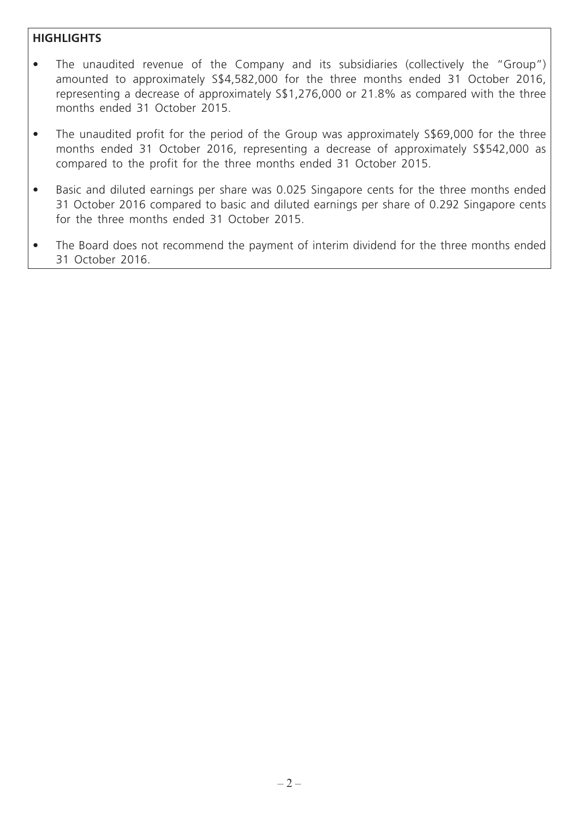## **HIGHLIGHTS**

- The unaudited revenue of the Company and its subsidiaries (collectively the "Group") amounted to approximately S\$4,582,000 for the three months ended 31 October 2016, representing a decrease of approximately S\$1,276,000 or 21.8% as compared with the three months ended 31 October 2015.
- The unaudited profit for the period of the Group was approximately S\$69,000 for the three months ended 31 October 2016, representing a decrease of approximately S\$542,000 as compared to the profit for the three months ended 31 October 2015.
- Basic and diluted earnings per share was 0.025 Singapore cents for the three months ended 31 October 2016 compared to basic and diluted earnings per share of 0.292 Singapore cents for the three months ended 31 October 2015.
- The Board does not recommend the payment of interim dividend for the three months ended 31 October 2016.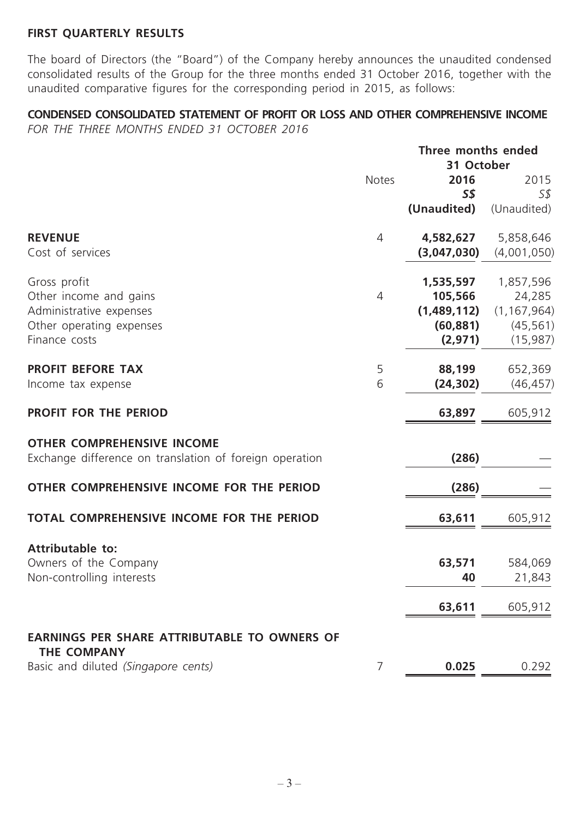## **FIRST QUARTERLY RESULTS**

The board of Directors (the "Board") of the Company hereby announces the unaudited condensed consolidated results of the Group for the three months ended 31 October 2016, together with the unaudited comparative figures for the corresponding period in 2015, as follows:

## **CONDENSED CONSOLIDATED STATEMENT OF PROFIT OR LOSS AND OTHER COMPREHENSIVE INCOME**

*FOR THE THREE MONTHS ENDED 31 OCTOBER 2016*

|                                                                                                                | Three months ended<br>31 October |                                                              |                                                                |
|----------------------------------------------------------------------------------------------------------------|----------------------------------|--------------------------------------------------------------|----------------------------------------------------------------|
|                                                                                                                | Notes                            | 2016<br>5\$                                                  | 2015<br>5\$                                                    |
|                                                                                                                |                                  | (Unaudited)                                                  | (Unaudited)                                                    |
| <b>REVENUE</b><br>Cost of services                                                                             | $\overline{4}$                   | 4,582,627<br>(3,047,030)                                     | 5,858,646<br>(4,001,050)                                       |
| Gross profit<br>Other income and gains<br>Administrative expenses<br>Other operating expenses<br>Finance costs | $\overline{4}$                   | 1,535,597<br>105,566<br>(1,489,112)<br>(60, 881)<br>(2, 971) | 1,857,596<br>24,285<br>(1, 167, 964)<br>(45, 561)<br>(15, 987) |
| <b>PROFIT BEFORE TAX</b><br>Income tax expense                                                                 | 5<br>6                           | 88,199<br>(24, 302)                                          | 652,369<br>(46, 457)                                           |
| PROFIT FOR THE PERIOD                                                                                          |                                  | 63,897                                                       | 605,912                                                        |
| <b>OTHER COMPREHENSIVE INCOME</b><br>Exchange difference on translation of foreign operation                   |                                  | (286)                                                        |                                                                |
| OTHER COMPREHENSIVE INCOME FOR THE PERIOD                                                                      |                                  | (286)                                                        |                                                                |
| TOTAL COMPREHENSIVE INCOME FOR THE PERIOD                                                                      |                                  | 63,611                                                       | 605,912                                                        |
| <b>Attributable to:</b><br>Owners of the Company<br>Non-controlling interests                                  |                                  | 63,571<br>40                                                 | 584,069<br>21,843                                              |
|                                                                                                                |                                  |                                                              | 63,611 605,912                                                 |
| <b>EARNINGS PER SHARE ATTRIBUTABLE TO OWNERS OF</b><br><b>THE COMPANY</b>                                      |                                  |                                                              |                                                                |
| Basic and diluted (Singapore cents)                                                                            | 7                                | 0.025                                                        | 0.292                                                          |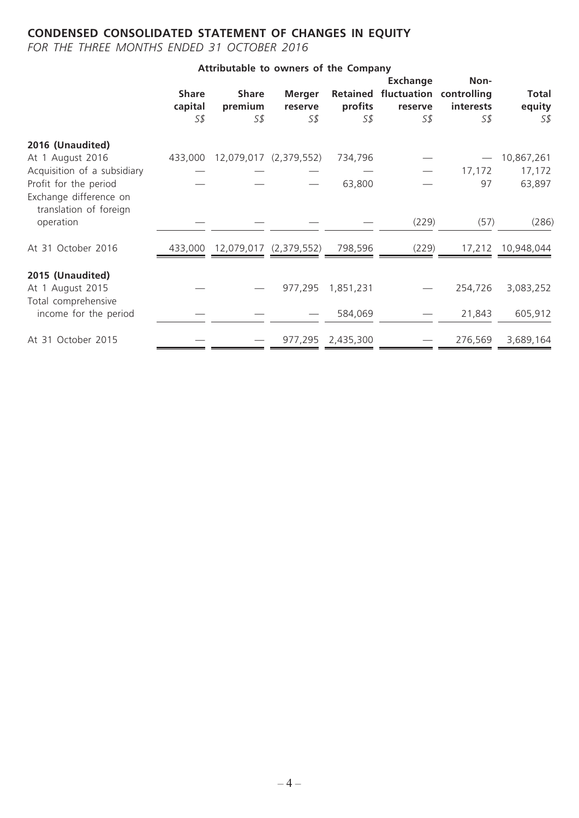## **CONDENSED CONSOLIDATED STATEMENT OF CHANGES IN EQUITY**

*FOR THE THREE MONTHS ENDED 31 OCTOBER 2016*

#### **Attributable to owners of the Company**

|                                                  |              |                                |                        |                | <b>Exchange</b>                  | Non-      |                   |
|--------------------------------------------------|--------------|--------------------------------|------------------------|----------------|----------------------------------|-----------|-------------------|
|                                                  | <b>Share</b> | <b>Share</b>                   | <b>Merger</b>          |                | Retained fluctuation controlling |           | <b>Total</b>      |
|                                                  | capital      | premium                        | reserve                | profits        | reserve                          | interests | equity            |
|                                                  | 5\$          | 5\$                            | 5\$                    | S <sub>s</sub> | S\$                              | S\$       | S\$               |
| 2016 (Unaudited)                                 |              |                                |                        |                |                                  |           |                   |
| At 1 August 2016                                 | 433,000      |                                | 12,079,017 (2,379,552) | 734,796        |                                  |           | 10,867,261        |
| Acquisition of a subsidiary                      |              |                                |                        |                |                                  | 17,172    | 17,172            |
| Profit for the period                            |              |                                |                        | 63,800         |                                  | 97        | 63,897            |
| Exchange difference on<br>translation of foreign |              |                                |                        |                |                                  |           |                   |
| operation                                        |              |                                |                        |                | (229)                            | (57)      | (286)             |
| At 31 October 2016                               |              | 433,000 12,079,017 (2,379,552) |                        | 798,596        | (229)                            |           | 17,212 10,948,044 |
| 2015 (Unaudited)                                 |              |                                |                        |                |                                  |           |                   |
| At 1 August 2015                                 |              |                                | 977,295                | 1,851,231      |                                  | 254,726   | 3,083,252         |
| Total comprehensive<br>income for the period     |              |                                |                        | 584,069        |                                  | 21,843    | 605,912           |
| At 31 October 2015                               |              |                                | 977,295                | 2,435,300      |                                  | 276,569   | 3,689,164         |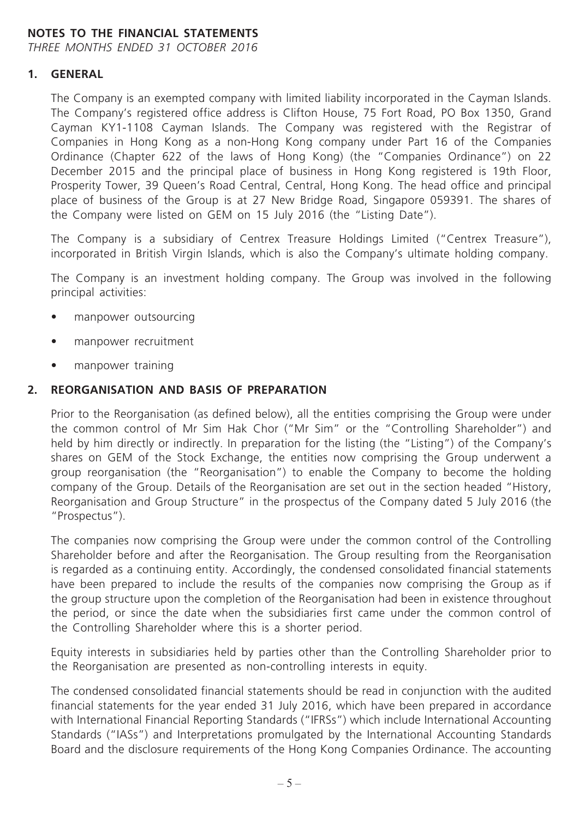## **NOTES TO THE FINANCIAL STATEMENTS**

*THREE MONTHS ENDED 31 OCTOBER 2016*

#### **1. GENERAL**

The Company is an exempted company with limited liability incorporated in the Cayman Islands. The Company's registered office address is Clifton House, 75 Fort Road, PO Box 1350, Grand Cayman KY1-1108 Cayman Islands. The Company was registered with the Registrar of Companies in Hong Kong as a non-Hong Kong company under Part 16 of the Companies Ordinance (Chapter 622 of the laws of Hong Kong) (the "Companies Ordinance") on 22 December 2015 and the principal place of business in Hong Kong registered is 19th Floor, Prosperity Tower, 39 Queen's Road Central, Central, Hong Kong. The head office and principal place of business of the Group is at 27 New Bridge Road, Singapore 059391. The shares of the Company were listed on GEM on 15 July 2016 (the "Listing Date").

The Company is a subsidiary of Centrex Treasure Holdings Limited ("Centrex Treasure"), incorporated in British Virgin Islands, which is also the Company's ultimate holding company.

The Company is an investment holding company. The Group was involved in the following principal activities:

- manpower outsourcing
- manpower recruitment
- manpower training

#### **2. REORGANISATION AND BASIS OF PREPARATION**

Prior to the Reorganisation (as defined below), all the entities comprising the Group were under the common control of Mr Sim Hak Chor ("Mr Sim" or the "Controlling Shareholder") and held by him directly or indirectly. In preparation for the listing (the "Listing") of the Company's shares on GEM of the Stock Exchange, the entities now comprising the Group underwent a group reorganisation (the "Reorganisation") to enable the Company to become the holding company of the Group. Details of the Reorganisation are set out in the section headed "History, Reorganisation and Group Structure" in the prospectus of the Company dated 5 July 2016 (the "Prospectus").

The companies now comprising the Group were under the common control of the Controlling Shareholder before and after the Reorganisation. The Group resulting from the Reorganisation is regarded as a continuing entity. Accordingly, the condensed consolidated financial statements have been prepared to include the results of the companies now comprising the Group as if the group structure upon the completion of the Reorganisation had been in existence throughout the period, or since the date when the subsidiaries first came under the common control of the Controlling Shareholder where this is a shorter period.

Equity interests in subsidiaries held by parties other than the Controlling Shareholder prior to the Reorganisation are presented as non-controlling interests in equity.

The condensed consolidated financial statements should be read in conjunction with the audited financial statements for the year ended 31 July 2016, which have been prepared in accordance with International Financial Reporting Standards ("IFRSs") which include International Accounting Standards ("IASs") and Interpretations promulgated by the International Accounting Standards Board and the disclosure requirements of the Hong Kong Companies Ordinance. The accounting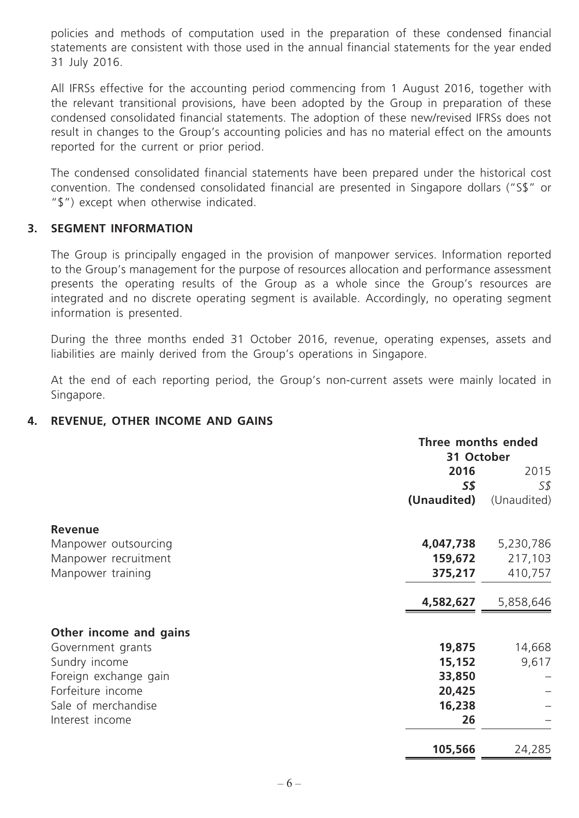policies and methods of computation used in the preparation of these condensed financial statements are consistent with those used in the annual financial statements for the year ended 31 July 2016.

All IFRSs effective for the accounting period commencing from 1 August 2016, together with the relevant transitional provisions, have been adopted by the Group in preparation of these condensed consolidated financial statements. The adoption of these new/revised IFRSs does not result in changes to the Group's accounting policies and has no material effect on the amounts reported for the current or prior period.

The condensed consolidated financial statements have been prepared under the historical cost convention. The condensed consolidated financial are presented in Singapore dollars ("S\$" or "\$") except when otherwise indicated.

### **3. SEGMENT INFORMATION**

The Group is principally engaged in the provision of manpower services. Information reported to the Group's management for the purpose of resources allocation and performance assessment presents the operating results of the Group as a whole since the Group's resources are integrated and no discrete operating segment is available. Accordingly, no operating segment information is presented.

During the three months ended 31 October 2016, revenue, operating expenses, assets and liabilities are mainly derived from the Group's operations in Singapore.

At the end of each reporting period, the Group's non-current assets were mainly located in Singapore.

## **4. REVENUE, OTHER INCOME AND GAINS**

|                        |             | Three months ended<br>31 October |  |  |
|------------------------|-------------|----------------------------------|--|--|
|                        | 2016        | 2015                             |  |  |
|                        | 5\$         | 5\$                              |  |  |
|                        | (Unaudited) | (Unaudited)                      |  |  |
| <b>Revenue</b>         |             |                                  |  |  |
| Manpower outsourcing   | 4,047,738   | 5,230,786                        |  |  |
| Manpower recruitment   | 159,672     | 217,103                          |  |  |
| Manpower training      | 375,217     | 410,757                          |  |  |
|                        | 4,582,627   | 5,858,646                        |  |  |
| Other income and gains |             |                                  |  |  |
| Government grants      | 19,875      | 14,668                           |  |  |
| Sundry income          | 15,152      | 9,617                            |  |  |
| Foreign exchange gain  | 33,850      |                                  |  |  |
| Forfeiture income      | 20,425      |                                  |  |  |
| Sale of merchandise    | 16,238      |                                  |  |  |
| Interest income        | 26          |                                  |  |  |
|                        | 105,566     | 24,285                           |  |  |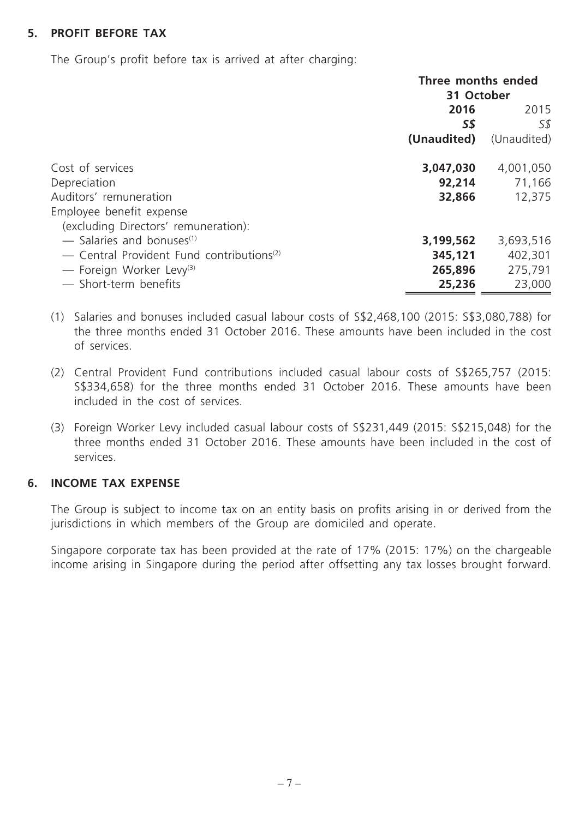## **5. PROFIT BEFORE TAX**

The Group's profit before tax is arrived at after charging:

|                                                            | Three months ended |             |  |
|------------------------------------------------------------|--------------------|-------------|--|
|                                                            | 31 October         |             |  |
|                                                            | 2016               |             |  |
|                                                            | 5\$                | 5\$         |  |
|                                                            | (Unaudited)        | (Unaudited) |  |
| Cost of services                                           | 3,047,030          | 4,001,050   |  |
| Depreciation                                               | 92,214             | 71,166      |  |
| Auditors' remuneration                                     | 32,866             | 12,375      |  |
| Employee benefit expense                                   |                    |             |  |
| (excluding Directors' remuneration):                       |                    |             |  |
| $-$ Salaries and bonuses <sup>(1)</sup>                    | 3,199,562          | 3,693,516   |  |
| $\sim$ Central Provident Fund contributions <sup>(2)</sup> | 345,121            | 402,301     |  |
| - Foreign Worker Levy <sup>(3)</sup>                       | 265,896            | 275,791     |  |
| - Short-term benefits                                      | 25,236             | 23,000      |  |

- (1) Salaries and bonuses included casual labour costs of S\$2,468,100 (2015: S\$3,080,788) for the three months ended 31 October 2016. These amounts have been included in the cost of services.
- (2) Central Provident Fund contributions included casual labour costs of S\$265,757 (2015: S\$334,658) for the three months ended 31 October 2016. These amounts have been included in the cost of services.
- (3) Foreign Worker Levy included casual labour costs of S\$231,449 (2015: S\$215,048) for the three months ended 31 October 2016. These amounts have been included in the cost of services.

#### **6. INCOME TAX EXPENSE**

The Group is subject to income tax on an entity basis on profits arising in or derived from the jurisdictions in which members of the Group are domiciled and operate.

Singapore corporate tax has been provided at the rate of 17% (2015: 17%) on the chargeable income arising in Singapore during the period after offsetting any tax losses brought forward.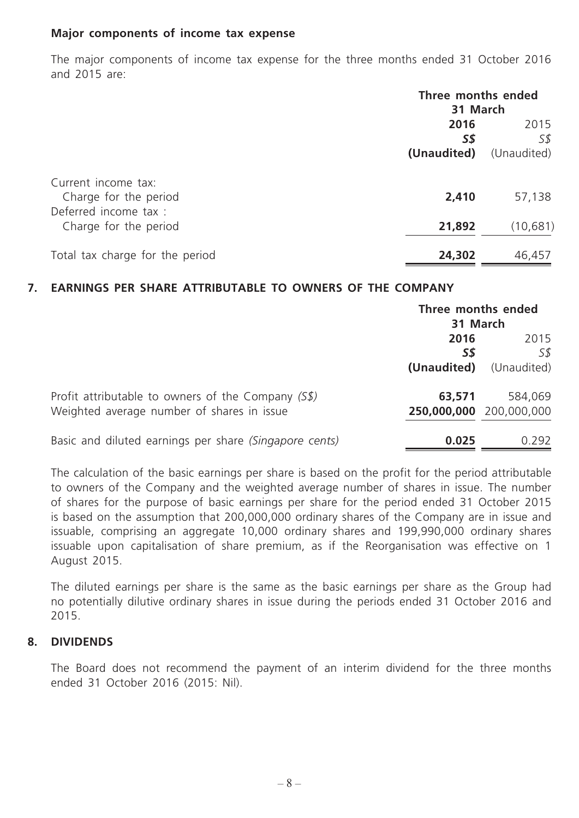#### **Major components of income tax expense**

The major components of income tax expense for the three months ended 31 October 2016 and 2015 are:

|                                 | Three months ended<br>31 March |             |  |
|---------------------------------|--------------------------------|-------------|--|
|                                 | 2016                           |             |  |
|                                 | 5\$                            | S\$         |  |
|                                 | (Unaudited)                    | (Unaudited) |  |
| Current income tax:             |                                |             |  |
| Charge for the period           | 2,410                          | 57,138      |  |
| Deferred income tax :           |                                |             |  |
| Charge for the period           | 21,892                         | (10, 681)   |  |
| Total tax charge for the period | 24,302                         | 46,457      |  |

## **7. EARNINGS PER SHARE ATTRIBUTABLE TO OWNERS OF THE COMPANY**

|                                                        | Three months ended<br>31 March |                         |
|--------------------------------------------------------|--------------------------------|-------------------------|
|                                                        | 2016                           | 2015                    |
|                                                        | S\$                            | 5\$                     |
|                                                        | (Unaudited)                    | (Unaudited)             |
| Profit attributable to owners of the Company $(5\$ )   | 63,571                         | 584,069                 |
| Weighted average number of shares in issue             |                                | 250,000,000 200,000,000 |
| Basic and diluted earnings per share (Singapore cents) | 0.025                          | 0.292                   |

The calculation of the basic earnings per share is based on the profit for the period attributable to owners of the Company and the weighted average number of shares in issue. The number of shares for the purpose of basic earnings per share for the period ended 31 October 2015 is based on the assumption that 200,000,000 ordinary shares of the Company are in issue and issuable, comprising an aggregate 10,000 ordinary shares and 199,990,000 ordinary shares issuable upon capitalisation of share premium, as if the Reorganisation was effective on 1 August 2015.

The diluted earnings per share is the same as the basic earnings per share as the Group had no potentially dilutive ordinary shares in issue during the periods ended 31 October 2016 and 2015.

## **8. DIVIDENDS**

The Board does not recommend the payment of an interim dividend for the three months ended 31 October 2016 (2015: Nil).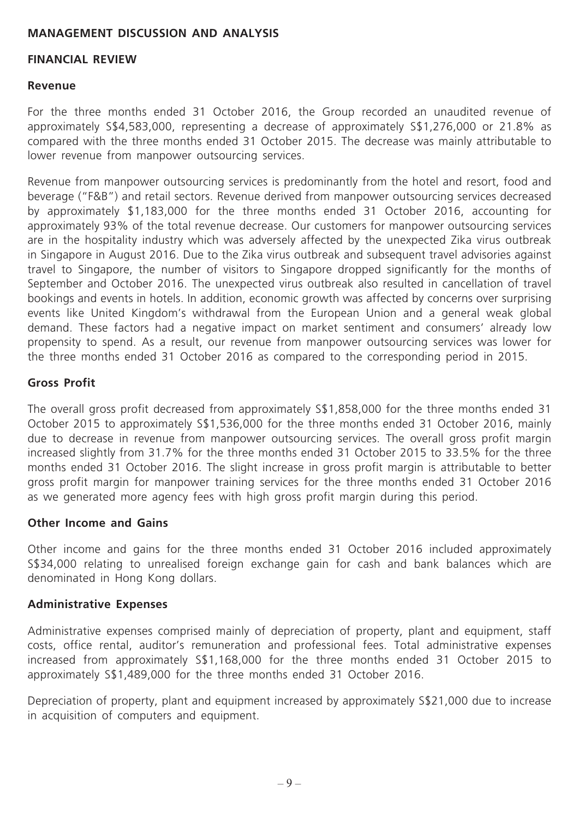## **MANAGEMENT DISCUSSION AND ANALYSIS**

#### **FINANCIAL REVIEW**

#### **Revenue**

For the three months ended 31 October 2016, the Group recorded an unaudited revenue of approximately S\$4,583,000, representing a decrease of approximately S\$1,276,000 or 21.8% as compared with the three months ended 31 October 2015. The decrease was mainly attributable to lower revenue from manpower outsourcing services.

Revenue from manpower outsourcing services is predominantly from the hotel and resort, food and beverage ("F&B") and retail sectors. Revenue derived from manpower outsourcing services decreased by approximately \$1,183,000 for the three months ended 31 October 2016, accounting for approximately 93% of the total revenue decrease. Our customers for manpower outsourcing services are in the hospitality industry which was adversely affected by the unexpected Zika virus outbreak in Singapore in August 2016. Due to the Zika virus outbreak and subsequent travel advisories against travel to Singapore, the number of visitors to Singapore dropped significantly for the months of September and October 2016. The unexpected virus outbreak also resulted in cancellation of travel bookings and events in hotels. In addition, economic growth was affected by concerns over surprising events like United Kingdom's withdrawal from the European Union and a general weak global demand. These factors had a negative impact on market sentiment and consumers' already low propensity to spend. As a result, our revenue from manpower outsourcing services was lower for the three months ended 31 October 2016 as compared to the corresponding period in 2015.

## **Gross Profit**

The overall gross profit decreased from approximately S\$1,858,000 for the three months ended 31 October 2015 to approximately S\$1,536,000 for the three months ended 31 October 2016, mainly due to decrease in revenue from manpower outsourcing services. The overall gross profit margin increased slightly from 31.7% for the three months ended 31 October 2015 to 33.5% for the three months ended 31 October 2016. The slight increase in gross profit margin is attributable to better gross profit margin for manpower training services for the three months ended 31 October 2016 as we generated more agency fees with high gross profit margin during this period.

#### **Other Income and Gains**

Other income and gains for the three months ended 31 October 2016 included approximately S\$34,000 relating to unrealised foreign exchange gain for cash and bank balances which are denominated in Hong Kong dollars.

#### **Administrative Expenses**

Administrative expenses comprised mainly of depreciation of property, plant and equipment, staff costs, office rental, auditor's remuneration and professional fees. Total administrative expenses increased from approximately S\$1,168,000 for the three months ended 31 October 2015 to approximately S\$1,489,000 for the three months ended 31 October 2016.

Depreciation of property, plant and equipment increased by approximately S\$21,000 due to increase in acquisition of computers and equipment.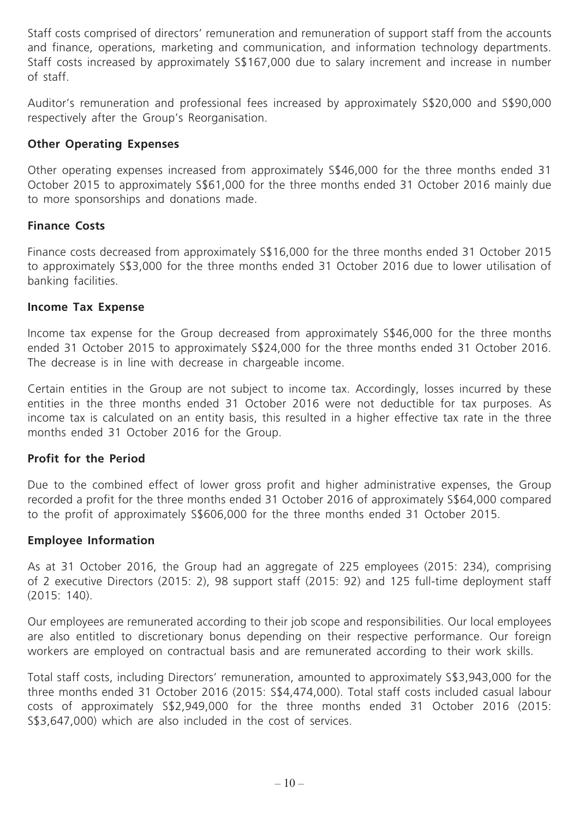Staff costs comprised of directors' remuneration and remuneration of support staff from the accounts and finance, operations, marketing and communication, and information technology departments. Staff costs increased by approximately S\$167,000 due to salary increment and increase in number of staff.

Auditor's remuneration and professional fees increased by approximately S\$20,000 and S\$90,000 respectively after the Group's Reorganisation.

## **Other Operating Expenses**

Other operating expenses increased from approximately S\$46,000 for the three months ended 31 October 2015 to approximately S\$61,000 for the three months ended 31 October 2016 mainly due to more sponsorships and donations made.

## **Finance Costs**

Finance costs decreased from approximately S\$16,000 for the three months ended 31 October 2015 to approximately S\$3,000 for the three months ended 31 October 2016 due to lower utilisation of banking facilities.

## **Income Tax Expense**

Income tax expense for the Group decreased from approximately S\$46,000 for the three months ended 31 October 2015 to approximately S\$24,000 for the three months ended 31 October 2016. The decrease is in line with decrease in chargeable income.

Certain entities in the Group are not subject to income tax. Accordingly, losses incurred by these entities in the three months ended 31 October 2016 were not deductible for tax purposes. As income tax is calculated on an entity basis, this resulted in a higher effective tax rate in the three months ended 31 October 2016 for the Group.

## **Profit for the Period**

Due to the combined effect of lower gross profit and higher administrative expenses, the Group recorded a profit for the three months ended 31 October 2016 of approximately S\$64,000 compared to the profit of approximately S\$606,000 for the three months ended 31 October 2015.

## **Employee Information**

As at 31 October 2016, the Group had an aggregate of 225 employees (2015: 234), comprising of 2 executive Directors (2015: 2), 98 support staff (2015: 92) and 125 full-time deployment staff (2015: 140).

Our employees are remunerated according to their job scope and responsibilities. Our local employees are also entitled to discretionary bonus depending on their respective performance. Our foreign workers are employed on contractual basis and are remunerated according to their work skills.

Total staff costs, including Directors' remuneration, amounted to approximately S\$3,943,000 for the three months ended 31 October 2016 (2015: S\$4,474,000). Total staff costs included casual labour costs of approximately S\$2,949,000 for the three months ended 31 October 2016 (2015: S\$3,647,000) which are also included in the cost of services.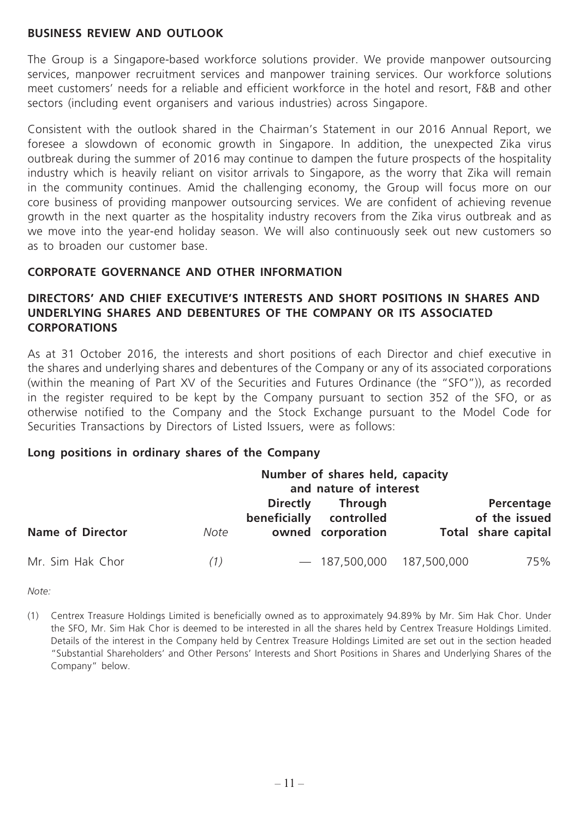## **BUSINESS REVIEW AND OUTLOOK**

The Group is a Singapore-based workforce solutions provider. We provide manpower outsourcing services, manpower recruitment services and manpower training services. Our workforce solutions meet customers' needs for a reliable and efficient workforce in the hotel and resort, F&B and other sectors (including event organisers and various industries) across Singapore.

Consistent with the outlook shared in the Chairman's Statement in our 2016 Annual Report, we foresee a slowdown of economic growth in Singapore. In addition, the unexpected Zika virus outbreak during the summer of 2016 may continue to dampen the future prospects of the hospitality industry which is heavily reliant on visitor arrivals to Singapore, as the worry that Zika will remain in the community continues. Amid the challenging economy, the Group will focus more on our core business of providing manpower outsourcing services. We are confident of achieving revenue growth in the next quarter as the hospitality industry recovers from the Zika virus outbreak and as we move into the year-end holiday season. We will also continuously seek out new customers so as to broaden our customer base.

### **CORPORATE GOVERNANCE AND OTHER INFORMATION**

## **DIRECTORS' AND CHIEF EXECUTIVE'S INTERESTS AND SHORT POSITIONS IN SHARES AND UNDERLYING SHARES AND DEBENTURES OF THE COMPANY OR ITS ASSOCIATED CORPORATIONS**

As at 31 October 2016, the interests and short positions of each Director and chief executive in the shares and underlying shares and debentures of the Company or any of its associated corporations (within the meaning of Part XV of the Securities and Futures Ordinance (the "SFO")), as recorded in the register required to be kept by the Company pursuant to section 352 of the SFO, or as otherwise notified to the Company and the Stock Exchange pursuant to the Model Code for Securities Transactions by Directors of Listed Issuers, were as follows:

## **Long positions in ordinary shares of the Company**

| <b>Name of Director</b> | Note | <b>Directly</b><br>beneficially | Through<br>controlled<br>owned corporation |  | Percentage<br>of the issued<br>Total share capital |
|-------------------------|------|---------------------------------|--------------------------------------------|--|----------------------------------------------------|
| Mr. Sim Hak Chor        | (1)  |                                 | $-$ 187,500,000 187,500,000                |  | 75%                                                |

*Note:*

(1) Centrex Treasure Holdings Limited is beneficially owned as to approximately 94.89% by Mr. Sim Hak Chor. Under the SFO, Mr. Sim Hak Chor is deemed to be interested in all the shares held by Centrex Treasure Holdings Limited. Details of the interest in the Company held by Centrex Treasure Holdings Limited are set out in the section headed "Substantial Shareholders' and Other Persons' Interests and Short Positions in Shares and Underlying Shares of the Company" below.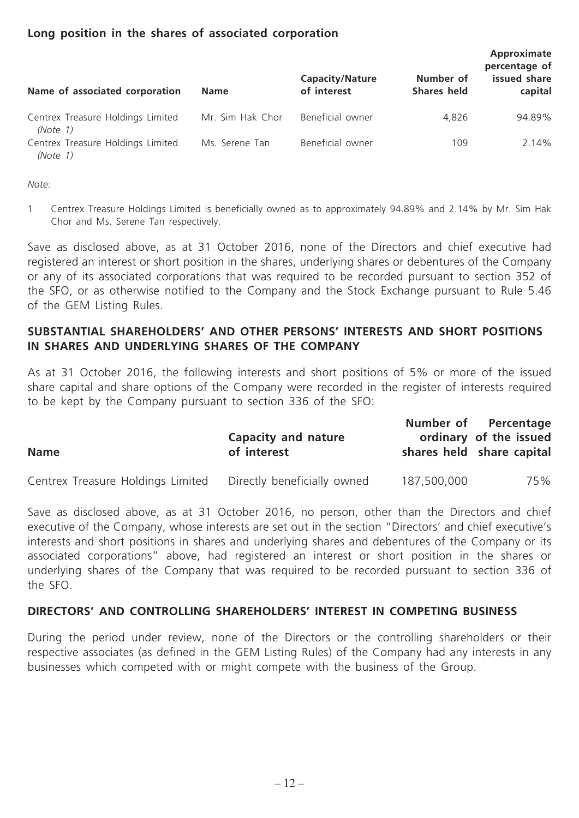## **Long position in the shares of associated corporation**

| Name of associated corporation                | <b>Name</b>      | <b>Capacity/Nature</b><br>of interest | Number of<br><b>Shares held</b> | Approximate<br>percentage of<br>issued share<br>capital |
|-----------------------------------------------|------------------|---------------------------------------|---------------------------------|---------------------------------------------------------|
| Centrex Treasure Holdings Limited<br>(Note 1) | Mr. Sim Hak Chor | Beneficial owner                      | 4.826                           | 94.89%                                                  |
| Centrex Treasure Holdings Limited<br>(Note 1) | Ms. Serene Tan   | Beneficial owner                      | 109                             | 2.14%                                                   |

*Note:*

1 Centrex Treasure Holdings Limited is beneficially owned as to approximately 94.89% and 2.14% by Mr. Sim Hak Chor and Ms. Serene Tan respectively.

Save as disclosed above, as at 31 October 2016, none of the Directors and chief executive had registered an interest or short position in the shares, underlying shares or debentures of the Company or any of its associated corporations that was required to be recorded pursuant to section 352 of the SFO, or as otherwise notified to the Company and the Stock Exchange pursuant to Rule 5.46 of the GEM Listing Rules.

## **SUBSTANTIAL SHAREHOLDERS' AND OTHER PERSONS' INTERESTS AND SHORT POSITIONS IN SHARES AND UNDERLYING SHARES OF THE COMPANY**

As at 31 October 2016, the following interests and short positions of 5% or more of the issued share capital and share options of the Company were recorded in the register of interests required to be kept by the Company pursuant to section 336 of the SFO:

| <b>Name</b>                       | <b>Capacity and nature</b><br>of interest |             | Number of Percentage<br>ordinary of the issued<br>shares held share capital |
|-----------------------------------|-------------------------------------------|-------------|-----------------------------------------------------------------------------|
| Centrex Treasure Holdings Limited | Directly beneficially owned               | 187,500,000 | 75%                                                                         |

Save as disclosed above, as at 31 October 2016, no person, other than the Directors and chief executive of the Company, whose interests are set out in the section "Directors' and chief executive's interests and short positions in shares and underlying shares and debentures of the Company or its associated corporations" above, had registered an interest or short position in the shares or underlying shares of the Company that was required to be recorded pursuant to section 336 of the SFO.

## **DIRECTORS' AND CONTROLLING SHAREHOLDERS' INTEREST IN COMPETING BUSINESS**

During the period under review, none of the Directors or the controlling shareholders or their respective associates (as defined in the GEM Listing Rules) of the Company had any interests in any businesses which competed with or might compete with the business of the Group.